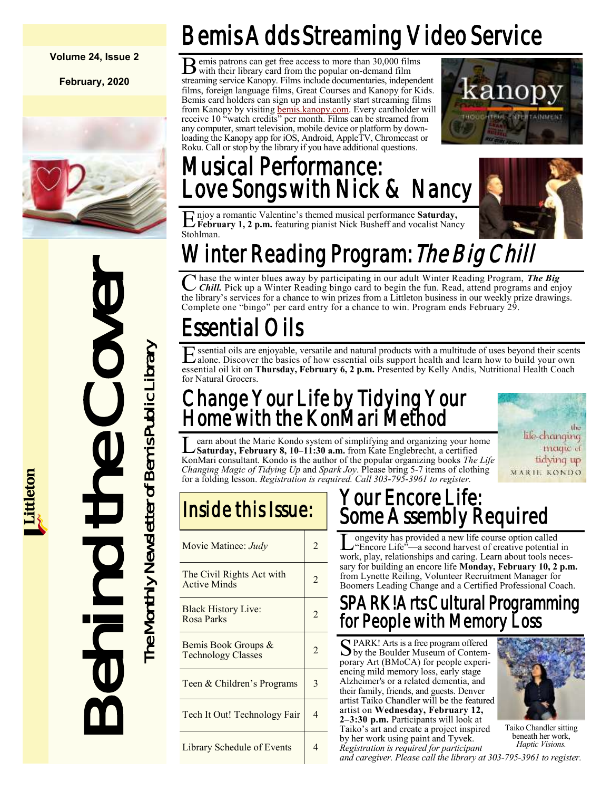### **Volume 24, Issue 2**

**February, 2020**



# VITHET REACT III<br>
Characthe winter blues away by<br>
the library is services for a chance the character<br>
Complete one "bing" is services for a chance the Complete one "bing" is expressed for a chance to complete one "bing" pr

# Bemis Adds Streaming Video Service

B emis patrons can get free access to more than 30,000 films with their library card from the popular on-demand film streaming service Kanopy. Films include documentaries, independent films, foreign language films, Great Courses and Kanopy for Kids. Bemis card holders can sign up and instantly start streaming films from Kanopy by visiting [bemis.kanopy.com.](https://bemis.kanopy.com/) Every cardholder will receive 10 "watch credits" per month. Films can be streamed from any computer, smart television, mobile device or platform by downloading the Kanopy app for iOS, Android, AppleTV, Chromecast or Roku. Call or stop by the library if you have additional questions.



# Musical Performance: Love Songs with Nick & Nancy



E njoy a romantic Valentine's themed musical performance **Saturday,**<br>February 1, 2 p.m. featuring pianist Nick Busheff and vocalist Nanc **February 1, 2 p.m.** featuring pianist Nick Busheff and vocalist Nancy Stohlman.

# Winter Reading Program: *The Big Chill*

C hase the winter blues away by participating in our adult Winter Reading Program, *The Big*<br>Chill. Pick up a Winter Reading bingo card to begin the fun. Read, attend programs and enjoy hase the winter blues away by participating in our adult Winter Reading Program, *The Big*  the library's services for a chance to win prizes from a Littleton business in our weekly prize drawings. Complete one "bingo" per card entry for a chance to win. Program ends February 29.

# Essential Oils

Essential oils are enjoyable, versatile and natural products with a multitude of uses beyond their scent alone. Discover the basics of how essential oils support health and learn how to build your own ssential oils are enjoyable, versatile and natural products with a multitude of uses beyond their scents essential oil kit on **Thursday, February 6, 2 p.m.** Presented by Kelly Andis, Nutritional Health Coach for Natural Grocers.

# Change Your Life by Tidying Your Home with the KonMari Method

**L** earn about the Marie Kondo system of simplifying and organizing your home<br>Saturday, February 8, 10–11:30 a.m. from Kate Englebrecht, a certified<br>KonMari consultant. Kondo is the author of the popular organizing books earn about the Marie Kondo system of simplifying and organizing your home **Saturday, February 8, 10–11:30 a.m.** from Kate Englebrecht, a certified *Changing Magic of Tidying Up* and *Spark Joy*. Please bring 5-7 items of clothing for a folding lesson. *Registration is required. Call 303-795-3961 to register.*



| Movie Matinee: Judy                              | $\overline{c}$ |
|--------------------------------------------------|----------------|
| The Civil Rights Act with<br><b>Active Minds</b> | $\mathfrak{D}$ |
| <b>Black History Live:</b><br>Rosa Parks         | $\overline{2}$ |
| Bemis Book Groups &<br><b>Technology Classes</b> |                |
| Teen & Children's Programs                       | 3              |
| Tech It Out! Technology Fair                     | 4              |
| Library Schedule of Events                       | 4              |

# Your Encore Life: Some Assembly Required

 $\overline{\text{L}}$ ongevity has provided a new life course option called "Encore Life"—a second harvest of creative potential in work, play, relationships and caring. Learn about tools necessary for building an encore life **Monday, February 10, 2 p.m.**  from Lynette Reiling, Volunteer Recruitment Manager for Boomers Leading Change and a Certified Professional Coach.

# SPARK! Arts Cultural Programming for People with Memory Loss

SPARK! Arts is a free program offered<br>by the Boulder Museum of Contem by the Boulder Museum of Contemporary Art (BMoCA) for people experiencing mild memory loss, early stage Alzheimer's or a related dementia, and their family, friends, and guests. Denver artist Taiko Chandler will be the featured artist on **Wednesday, February 12, 2–3:30 p.m.** Participants will look at Taiko's art and create a project inspired by her work using paint and Tyvek.

*Registration is required for participant* 



Taiko Chandler sitting beneath her work, *Haptic Visions.*

*and caregiver. Please call the library at 303-795-3961 to register.*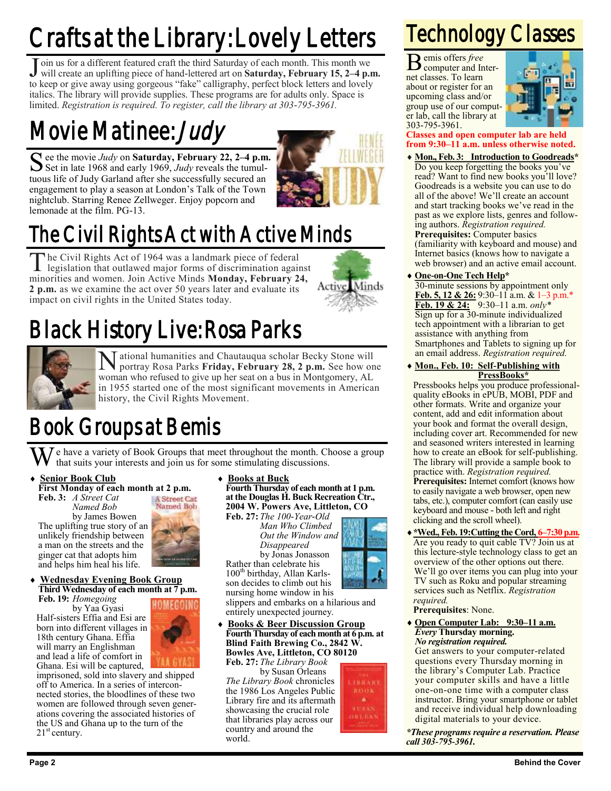# Crafts at the Library: Lovely Letters

J oin us for a different featured craft the third Saturday of each month. This month we will create an uplifting piece of hand-lettered art on **Saturday**, February 15, 2–4 p.1 will create an uplifting piece of hand-lettered art on **Saturday, February 15, 2–4 p.m.** to keep or give away using gorgeous "fake" calligraphy, perfect block letters and lovely italics. The library will provide supplies. These programs are for adults only. Space is limited. *Registration is required. To register, call the library at 303-795-3961.*

# Movie Matinee: *Judy*

See the movie *Judy* on **Saturday, February 22, 2–4 p.m.**<br>Set in late 1968 and early 1969, *Judy* reveals the tumul-Set in late 1968 and early 1969, *Judy* reveals the tumultuous life of Judy Garland after she successfully secured an engagement to play a season at London's Talk of the Town nightclub. Starring Renee Zellweger. Enjoy popcorn and lemonade at the film. PG-13.



# The Civil Rights Act with Active Minds

The Civil Rights Act of 1964 was a landmark piece of federal<br>legislation that outlawed major forms of discrimination against he Civil Rights Act of 1964 was a landmark piece of federal minorities and women. Join Active Minds **Monday, February 24, 2 p.m.** as we examine the act over 50 years later and evaluate its impact on civil rights in the United States today.



# Black History Live: Rosa Parks



 $\mathbf N$ ational humanities and Chautauqua scholar Becky Stone will portray Rosa Parks Friday, February 28, 2 p.m. See how on portray Rosa Parks **Friday, February 28, 2 p.m.** See how one woman who refused to give up her seat on a bus in Montgomery, AL in 1955 started one of the most significant movements in American history, the Civil Rights Movement.

# Book Groups at Bemis

 $\overline{J}$  e have a variety of Book Groups that meet throughout the month. Choose a group that suits your interests and join us for some stimulating discussions.

- **Senior Book Club**
- **First Monday of each month at 2 p.m. Feb. 3:** *A Street Cat Named Bob*

by James Bowen The uplifting true story of an unlikely friendship between a man on the streets and the ginger cat that adopts him and helps him heal his life.



### **Wednesday Evening Book Group Third Wednesday of each month at 7 p.m.**

**Feb. 19:** *Homegoing* by Yaa Gyasi Half-sisters Effia and Esi are born into different villages in 18th century Ghana. Effia will marry an Englishman and lead a life of comfort in Ghana. Esi will be captured,

HOMEGOI

imprisoned, sold into slavery and shipped off to America. In a series of interconnected stories, the bloodlines of these two women are followed through seven generations covering the associated histories of the US and Ghana up to the turn of the  $21<sup>st</sup>$  century.

 **Books at Buck Fourth Thursday of each month at 1 p.m.**

**at the Douglas H. Buck Recreation Ctr., 2004 W. Powers Ave, Littleton, CO Feb. 27:** *The 100-Year-Old*

*Man Who Climbed Disappeared* Rather than celebrate his



son decides to climb out his nursing home window in his

slippers and embarks on a hilarious and entirely unexpected journey.

 **Books & Beer Discussion Group Fourth Thursday of each month at 6 p.m. at Blind Faith Brewing Co., 2842 W. Bowles Ave, Littleton, CO 80120 Feb. 27:** *The Library Book*

by Susan Orleans *The Library Book* chronicles the 1986 Los Angeles Public Library fire and its aftermath showcasing the crucial role that libraries play across our country and around the world.



# Technology Classes

B emis offers *free*  computer and Internet classes. To learn about or register for an upcoming class and/or group use of our computer lab, call the library at 303-795-3961.



### **Classes and open computer lab are held from 9:30–11 a.m. unless otherwise noted.**

- **Mon., Feb. 3: Introduction to Goodreads\*** Do you keep forgetting the books you've read? Want to find new books you'll love? Goodreads is a website you can use to do all of the above! We'll create an account and start tracking books we've read in the past as we explore lists, genres and following authors. *Registration required.* **Prerequisites:** Computer basics (familiarity with keyboard and mouse) and Internet basics (knows how to navigate a web browser) and an active email account.
- **One-on-One Tech Help\***
	- 30-minute sessions by appointment only **Feb. 5, 12 & 26:** 9:30–11 a.m. & 1–3 p.m.\* **Feb. 19 & 24:** 9:30–11 a.m. *only\** Sign up for a 30-minute individualized tech appointment with a librarian to get assistance with anything from Smartphones and Tablets to signing up for an email address. *Registration required.*
- **Mon., Feb. 10: Self-Publishing with PressBooks\***

Pressbooks helps you produce professionalquality eBooks in ePUB, MOBI, PDF and other formats. Write and organize your content, add and edit information about your book and format the overall design, including cover art. Recommended for new and seasoned writers interested in learning how to create an eBook for self-publishing. The library will provide a sample book to practice with. *Registration required.* **Prerequisites:** Internet comfort (knows how to easily navigate a web browser, open new tabs, etc.), computer comfort (can easily use keyboard and mouse - both left and right clicking and the scroll wheel).

**\*Wed., Feb. 19:Cutting the Cord, 6–7:30 p.m.** Are you ready to quit cable TV? Join us at this lecture-style technology class to get an overview of the other options out there. We'll go over items you can plug into your TV such as Roku and popular streaming services such as Netflix. *Registration required.*

**Prerequisites**: None.

 **Open Computer Lab: 9:30–11 a.m.** *Every* **Thursday morning.** *No registration required.*

Get answers to your computer-related questions every Thursday morning in the library's Computer Lab. Practice your computer skills and have a little one-on-one time with a computer class instructor. Bring your smartphone or tablet and receive individual help downloading digital materials to your device.

*\*These programs require a reservation. Please call 303-795-3961.*

*Out the Window and* by Jonas Jonasson

100<sup>th</sup> birthday, Allan Karls-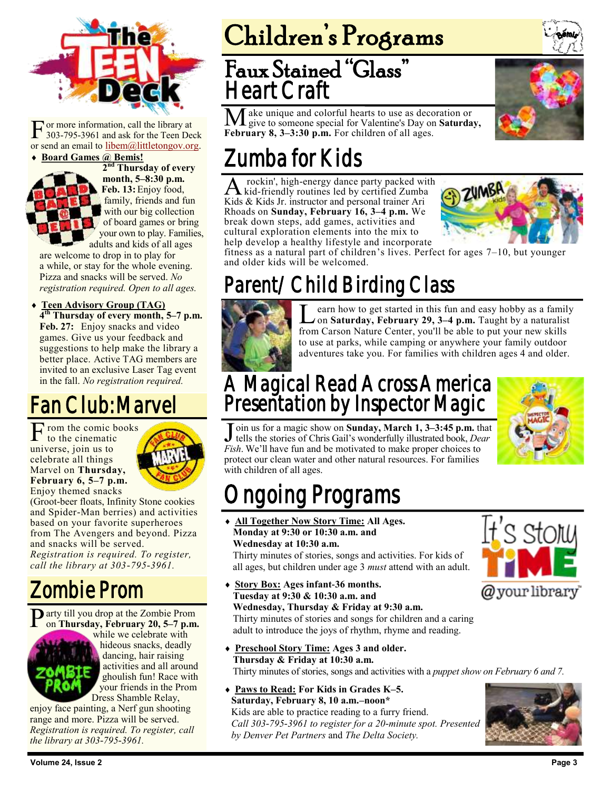

F or more information, call the library at 303-795-3961 and ask for the Teen Deck or send an email to [libem@littletongov.org.](mailto:libem@littletongov.org.)

### **Board Games @ Bemis!**



**2 nd Thursday of every month, 5–8:30 p.m. Feb. 13:** Enjoy food, family, friends and fun with our big collection of board games or bring your own to play. Families,

adults and kids of all ages are welcome to drop in to play for a while, or stay for the whole evening. Pizza and snacks will be served. *No registration required. Open to all ages.*

 **Teen Advisory Group (TAG) 4 th Thursday of every month, 5–7 p.m.** Feb. 27: Enjoy snacks and video games. Give us your feedback and suggestions to help make the library a better place. Active TAG members are invited to an exclusive Laser Tag event in the fall. *No registration required.*

# Fan Club: Marvel

 $\Gamma$  rom the comic books<br>to the cinematic to the cinematic universe, join us to celebrate all things Marvel on **Thursday, February 6, 5–7 p.m.**  Enjoy themed snacks



(Groot-beer floats, Infinity Stone cookies and Spider-Man berries) and activities based on your favorite superheroes from The Avengers and beyond. Pizza and snacks will be served. *Registration is required. To register, call the library at 303-795-3961.*

# Zombie Prom

Party till you drop at the Zombie Prom<br>on Thursday, February 20, 5-7 p.m. on **Thursday, February 20, 5–7 p.m.** 



while we celebrate with hideous snacks, deadly dancing, hair raising activities and all around ghoulish fun! Race with your friends in the Prom Dress Shamble Relay,

enjoy face painting, a Nerf gun shooting range and more. Pizza will be served. *Registration is required. To register, call the library at 303-795-3961.*

# Children's Programs

# Faux Stained "Glass" Heart Craft

Make unique and colorful hearts to use as decoration or give to someone special for Valentine's Day on **Saturday,**  February 8, 3-3:30 p.m. For children of all ages.



A rockin', high-energy dance party packed with kid-friendly routines led by certified Zumba rockin', high-energy dance party packed with Kids & Kids Jr. instructor and personal trainer Ari Rhoads on **Sunday, February 16, 3–4 p.m.** We break down steps, add games, activities and cultural exploration elements into the mix to help develop a healthy lifestyle and incorporate



fitness as a natural part of children's lives. Perfect for ages 7–10, but younger and older kids will be welcomed.

# Parent/Child Birding Class



Learn how to get started in this fun and easy hobby as a family<br>on **Saturday, February 29, 3–4 p.m.** Taught by a naturalist earn how to get started in this fun and easy hobby as a family from Carson Nature Center, you'll be able to put your new skills to use at parks, while camping or anywhere your family outdoor adventures take you. For families with children ages 4 and older.

# A Magical Read Across America Presentation by Inspector Magic



 $\overline{\mathbf{j}}$ oin us for a magic show on **Sunday, March 1, 3–3:45 p.m.** that tells the stories of Chris Gail's wonderfully illustrated book, *Dear Fish*. We'll have fun and be motivated to make proper choices to protect our clean water and other natural resources. For families with children of all ages.

# ngoing Programs

 **All Together Now Story Time: All Ages. Monday at 9:30 or 10:30 a.m. and Wednesday at 10:30 a.m.**

Thirty minutes of stories, songs and activities. For kids of all ages, but children under age 3 *must* attend with an adult.

- **Story Box: Ages infant-36 months. Tuesday at 9:30 & 10:30 a.m. and Wednesday, Thursday & Friday at 9:30 a.m.** Thirty minutes of stories and songs for children and a caring adult to introduce the joys of rhythm, rhyme and reading.
- **Preschool Story Time: Ages 3 and older. Thursday & Friday at 10:30 a.m.** Thirty minutes of stories, songs and activities with a *puppet show on February 6 and 7.*
- **Paws to Read: For Kids in Grades K–5. Saturday, February 8, 10 a.m.–noon\*** Kids are able to practice reading to a furry friend. *Call 303-795-3961 to register for a 20-minute spot. Presented by Denver Pet Partners* and *The Delta Society.*